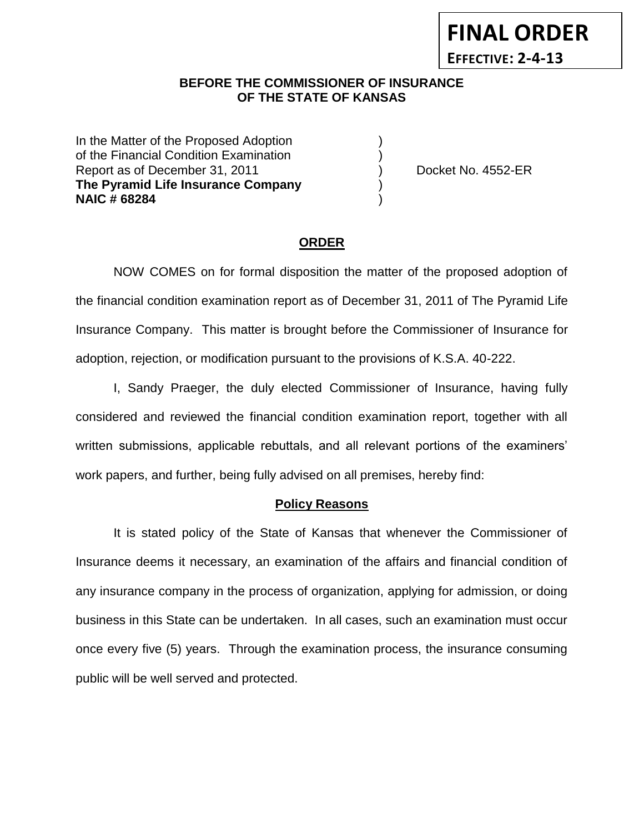### **BEFORE THE COMMISSIONER OF INSURANCE** *-12***OF THE STATE OF KANSAS**

In the Matter of the Proposed Adoption of the Financial Condition Examination ) Report as of December 31, 2011 (and Separate Report as of December 31, 2011) (b) Docket No. 4552-ER **The Pyramid Life Insurance Company** ) **NAIC # 68284** )

**FINAL ORDER**

**EFFECTIVE: 2-4-13**

### **ORDER**

NOW COMES on for formal disposition the matter of the proposed adoption of the financial condition examination report as of December 31, 2011 of The Pyramid Life Insurance Company. This matter is brought before the Commissioner of Insurance for adoption, rejection, or modification pursuant to the provisions of K.S.A. 40-222.

I, Sandy Praeger, the duly elected Commissioner of Insurance, having fully considered and reviewed the financial condition examination report, together with all written submissions, applicable rebuttals, and all relevant portions of the examiners' work papers, and further, being fully advised on all premises, hereby find:

### **Policy Reasons**

It is stated policy of the State of Kansas that whenever the Commissioner of Insurance deems it necessary, an examination of the affairs and financial condition of any insurance company in the process of organization, applying for admission, or doing business in this State can be undertaken. In all cases, such an examination must occur once every five (5) years. Through the examination process, the insurance consuming public will be well served and protected.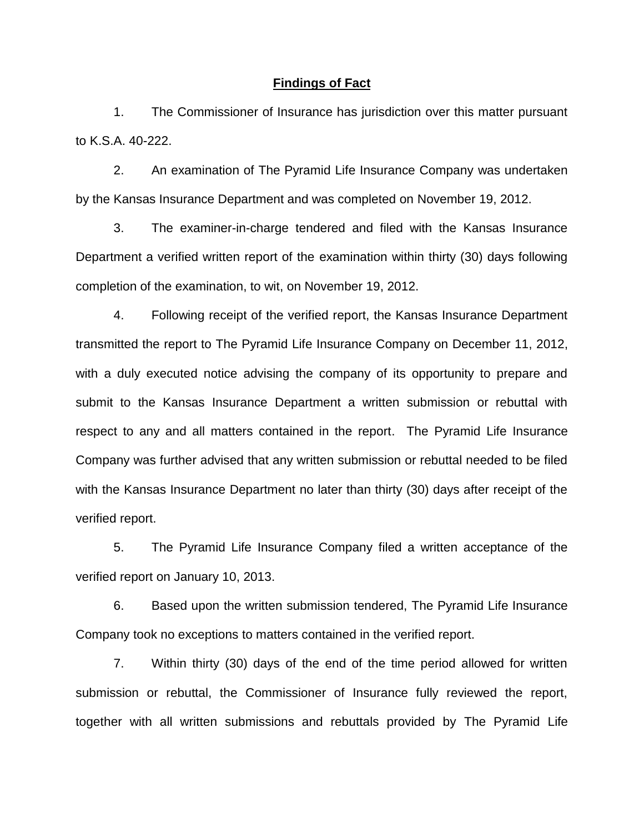### **Findings of Fact**

1. The Commissioner of Insurance has jurisdiction over this matter pursuant to K.S.A. 40-222.

2. An examination of The Pyramid Life Insurance Company was undertaken by the Kansas Insurance Department and was completed on November 19, 2012.

3. The examiner-in-charge tendered and filed with the Kansas Insurance Department a verified written report of the examination within thirty (30) days following completion of the examination, to wit, on November 19, 2012.

4. Following receipt of the verified report, the Kansas Insurance Department transmitted the report to The Pyramid Life Insurance Company on December 11, 2012, with a duly executed notice advising the company of its opportunity to prepare and submit to the Kansas Insurance Department a written submission or rebuttal with respect to any and all matters contained in the report. The Pyramid Life Insurance Company was further advised that any written submission or rebuttal needed to be filed with the Kansas Insurance Department no later than thirty (30) days after receipt of the verified report.

5. The Pyramid Life Insurance Company filed a written acceptance of the verified report on January 10, 2013.

6. Based upon the written submission tendered, The Pyramid Life Insurance Company took no exceptions to matters contained in the verified report.

7. Within thirty (30) days of the end of the time period allowed for written submission or rebuttal, the Commissioner of Insurance fully reviewed the report, together with all written submissions and rebuttals provided by The Pyramid Life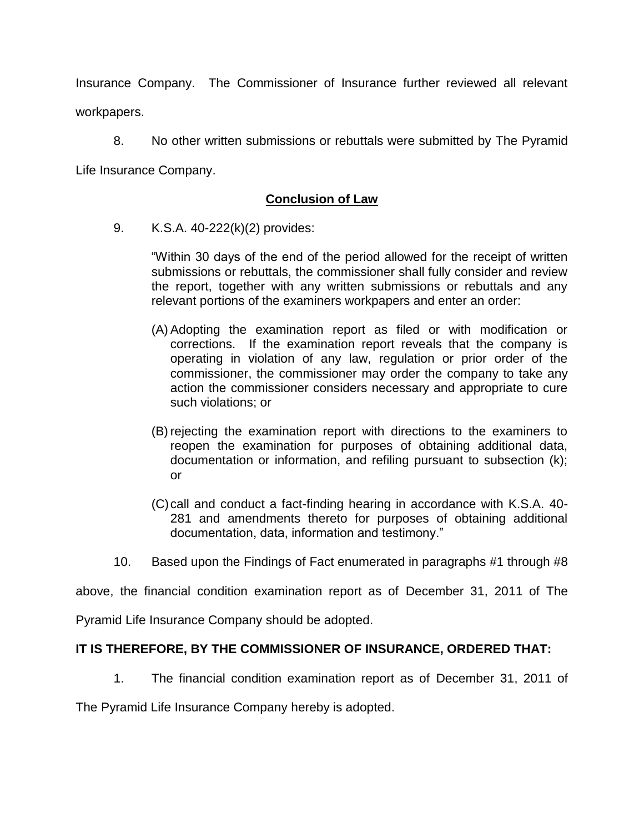Insurance Company. The Commissioner of Insurance further reviewed all relevant workpapers.

8. No other written submissions or rebuttals were submitted by The Pyramid Life Insurance Company.

## **Conclusion of Law**

9. K.S.A. 40-222(k)(2) provides:

"Within 30 days of the end of the period allowed for the receipt of written submissions or rebuttals, the commissioner shall fully consider and review the report, together with any written submissions or rebuttals and any relevant portions of the examiners workpapers and enter an order:

- (A) Adopting the examination report as filed or with modification or corrections. If the examination report reveals that the company is operating in violation of any law, regulation or prior order of the commissioner, the commissioner may order the company to take any action the commissioner considers necessary and appropriate to cure such violations; or
- (B) rejecting the examination report with directions to the examiners to reopen the examination for purposes of obtaining additional data, documentation or information, and refiling pursuant to subsection (k); or
- (C)call and conduct a fact-finding hearing in accordance with K.S.A. 40- 281 and amendments thereto for purposes of obtaining additional documentation, data, information and testimony."
- 10. Based upon the Findings of Fact enumerated in paragraphs #1 through #8

above, the financial condition examination report as of December 31, 2011 of The

Pyramid Life Insurance Company should be adopted.

## **IT IS THEREFORE, BY THE COMMISSIONER OF INSURANCE, ORDERED THAT:**

1. The financial condition examination report as of December 31, 2011 of

The Pyramid Life Insurance Company hereby is adopted.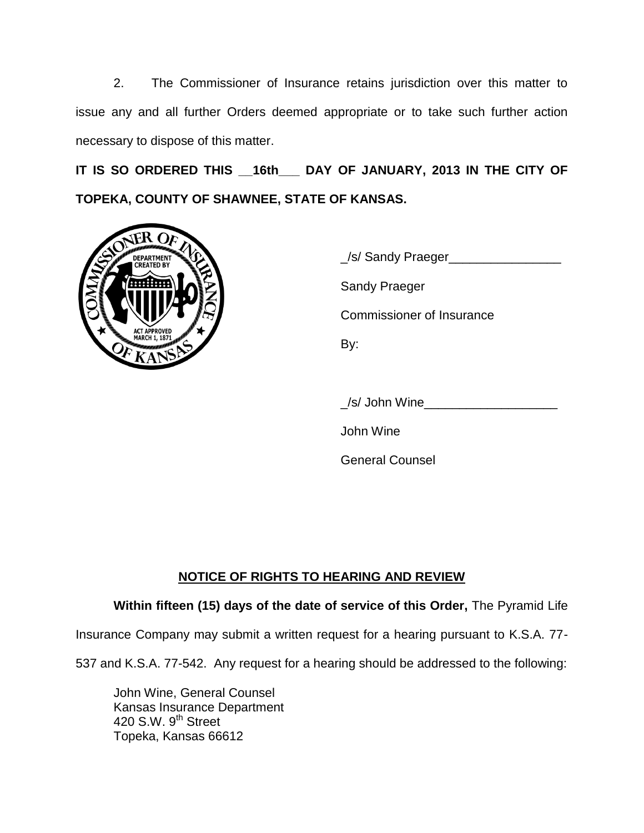2. The Commissioner of Insurance retains jurisdiction over this matter to issue any and all further Orders deemed appropriate or to take such further action necessary to dispose of this matter.

**IT IS SO ORDERED THIS \_\_16th\_\_\_ DAY OF JANUARY, 2013 IN THE CITY OF TOPEKA, COUNTY OF SHAWNEE, STATE OF KANSAS.**



\_/s/ Sandy Praeger\_\_\_\_\_\_\_\_\_\_\_\_\_\_\_\_ Sandy Praeger Commissioner of Insurance By:

\_/s/ John Wine\_\_\_\_\_\_\_\_\_\_\_\_\_\_\_\_\_\_\_

John Wine

General Counsel

# **NOTICE OF RIGHTS TO HEARING AND REVIEW**

## **Within fifteen (15) days of the date of service of this Order,** The Pyramid Life

Insurance Company may submit a written request for a hearing pursuant to K.S.A. 77-

537 and K.S.A. 77-542. Any request for a hearing should be addressed to the following:

John Wine, General Counsel Kansas Insurance Department 420 S.W. 9<sup>th</sup> Street Topeka, Kansas 66612